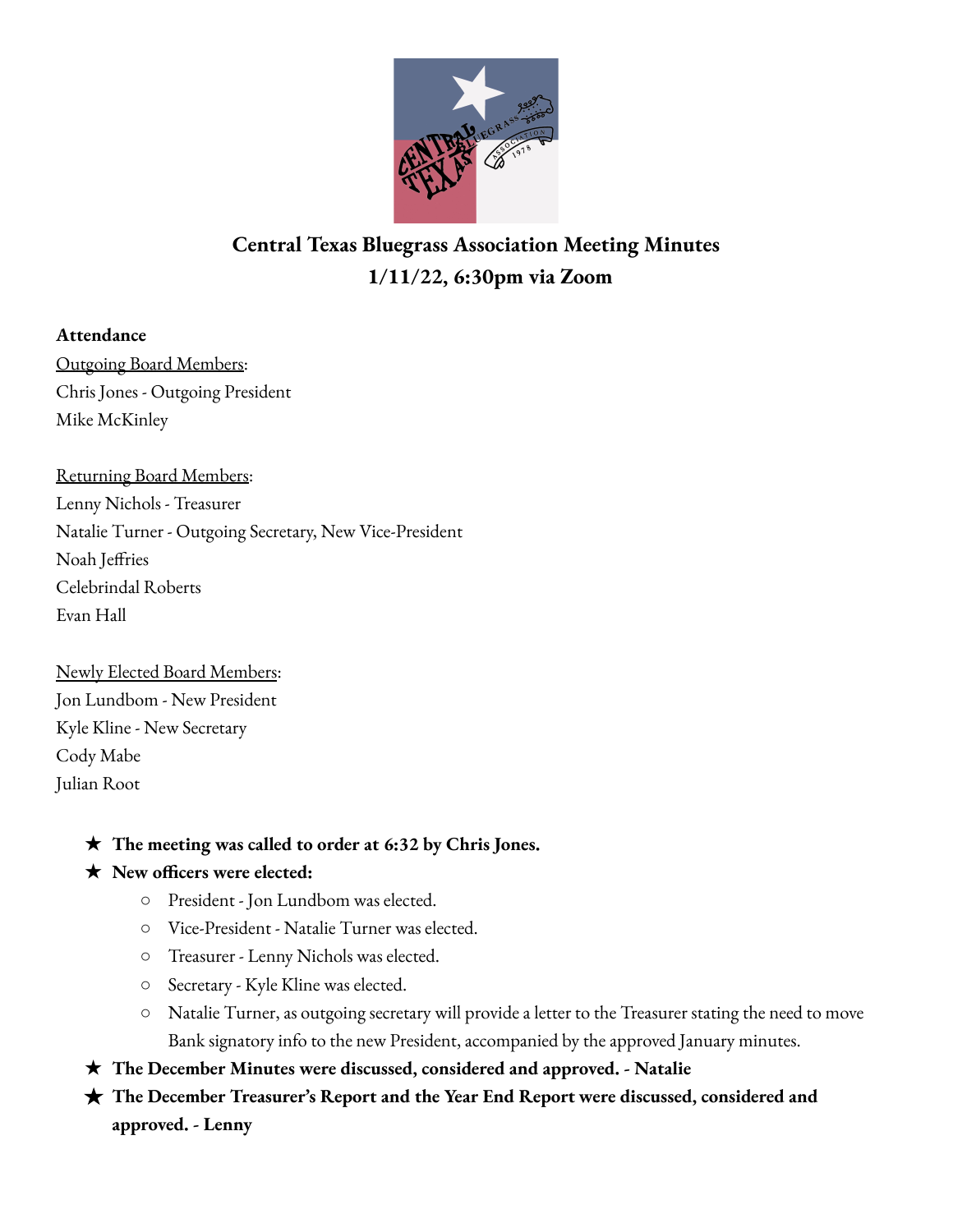

# **Central Texas Bluegrass Association Meeting Minutes 1/11/22, 6:30pm via Zoom**

## **Attendance**

Outgoing Board Members: Chris Jones - Outgoing President Mike McKinley

Returning Board Members: Lenny Nichols - Treasurer Natalie Turner - Outgoing Secretary, New Vice-President Noah Jeffries Celebrindal Roberts Evan Hall

Newly Elected Board Members: Jon Lundbom - New President Kyle Kline - New Secretary Cody Mabe Julian Root

# ★ **The meeting was called to order at 6:32 by Chris Jones.**

# ★ **New officers were elected:**

- President Jon Lundbom was elected.
- Vice-President Natalie Turner was elected.
- Treasurer Lenny Nichols was elected.
- Secretary Kyle Kline was elected.
- Natalie Turner, as outgoing secretary will provide a letter to the Treasurer stating the need to move Bank signatory info to the new President, accompanied by the approved January minutes.
- ★ **The December Minutes were discussed, considered and approved. - Natalie**
- **★ The December Treasurer's Report and the Year End Report were discussed, considered and approved. - Lenny**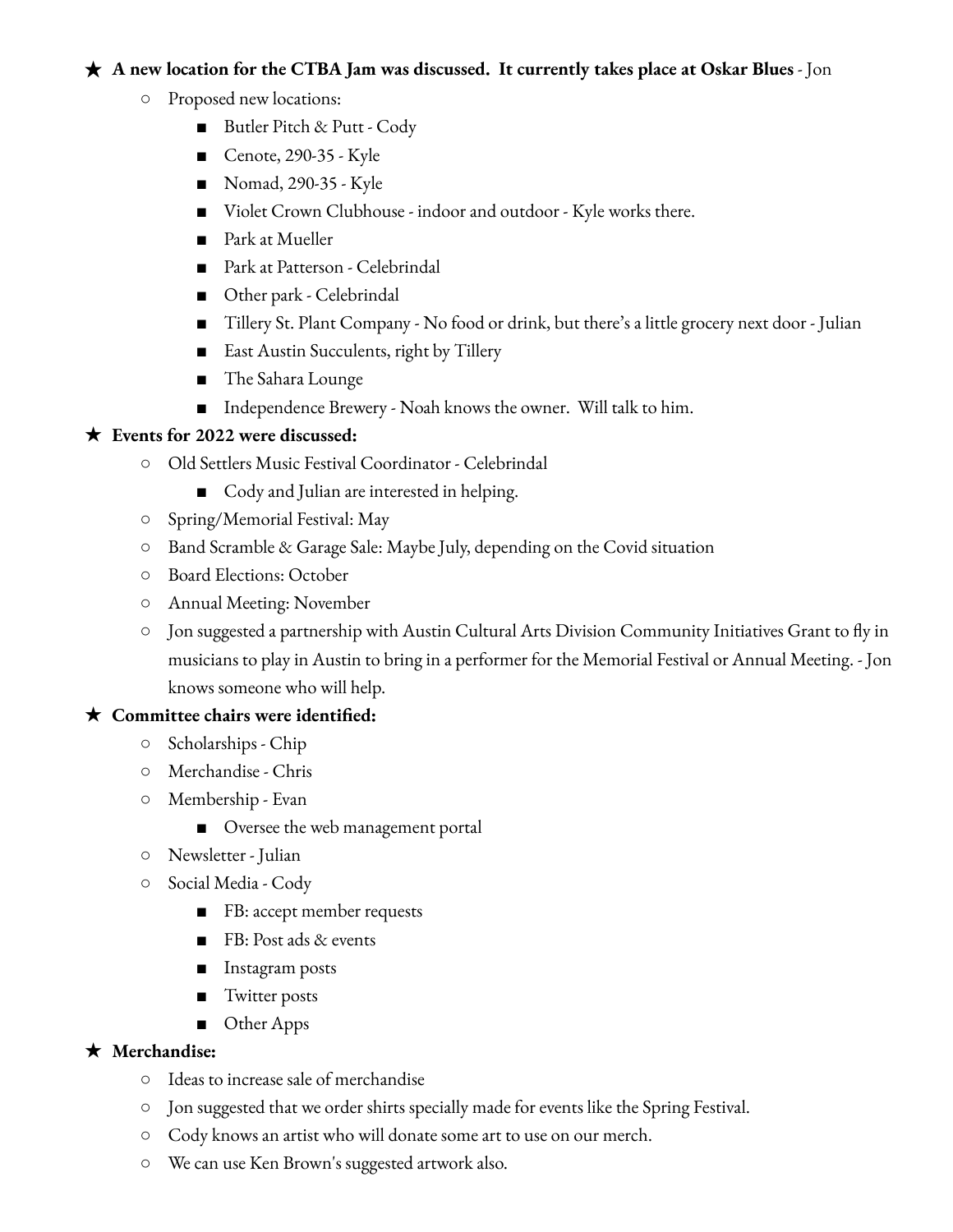### ★ **A new location for the CTBA Jam was discussed. It currently takes place at Oskar Blues** - Jon

- Proposed new locations:
	- Butler Pitch & Putt Cody
	- Cenote, 290-35 Kyle
	- Nomad, 290-35 Kyle
	- Violet Crown Clubhouse indoor and outdoor Kyle works there.
	- Park at Mueller
	- Park at Patterson Celebrindal
	- Other park Celebrindal
	- Tillery St. Plant Company No food or drink, but there's a little grocery next door Julian
	- East Austin Succulents, right by Tillery
	- The Sahara Lounge
	- Independence Brewery Noah knows the owner. Will talk to him.

#### ★ **Events for 2022 were discussed:**

- Old Settlers Music Festival Coordinator Celebrindal
	- Cody and Julian are interested in helping.
- Spring/Memorial Festival: May
- Band Scramble & Garage Sale: Maybe July, depending on the Covid situation
- Board Elections: October
- Annual Meeting: November
- Jon suggested a partnership with Austin Cultural Arts Division Community Initiatives Grant to fly in musicians to play in Austin to bring in a performer for the Memorial Festival or Annual Meeting. - Jon knows someone who will help.

#### ★ **Committee chairs were identified:**

- Scholarships Chip
- Merchandise Chris
- Membership Evan
	- Oversee the web management portal
- Newsletter Julian
- Social Media Cody
	- FB: accept member requests
	- FB: Post ads & events
	- Instagram posts
	- Twitter posts
	- Other Apps

#### ★ **Merchandise:**

- Ideas to increase sale of merchandise
- Jon suggested that we order shirts specially made for events like the Spring Festival.
- Cody knows an artist who will donate some art to use on our merch.
- We can use Ken Brown's suggested artwork also.